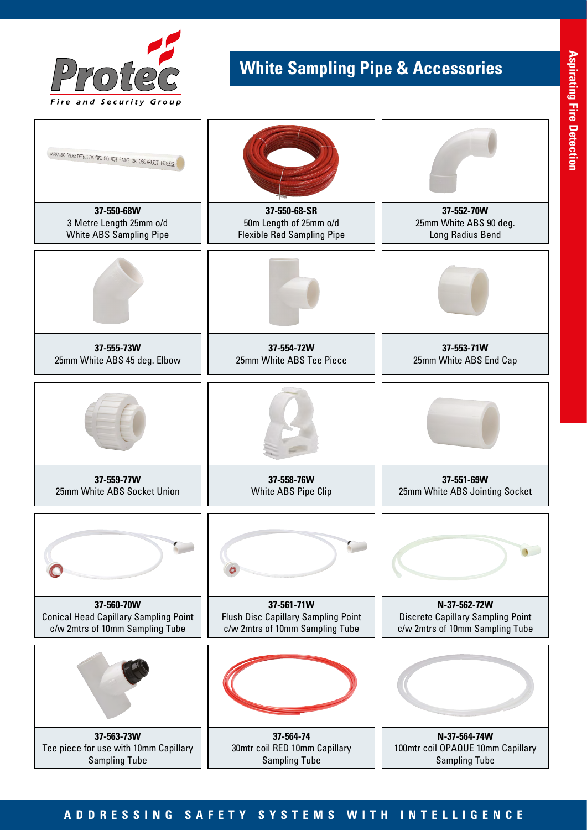

## **White Sampling Pipe & Accessories**



## **ADDRESSING SAFETY SYSTEMS WITH INTELLIGENCE**